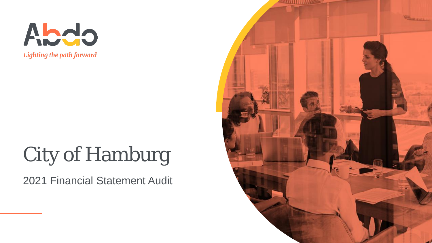

## City of Hamburg

2021 Financial Statement Audit

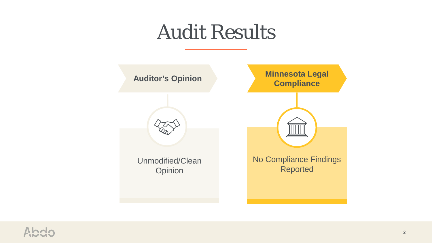## Audit Results



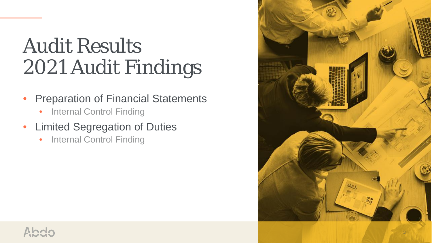## Audit Results 2021 Audit Findings

- **Preparation of Financial Statements** 
	- Internal Control Finding
- Limited Segregation of Duties
	- Internal Control Finding

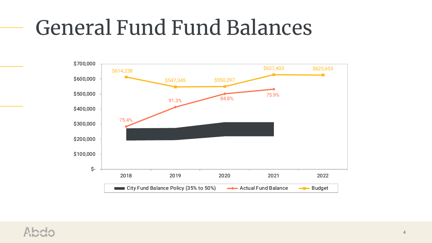## General Fund Fund Balances



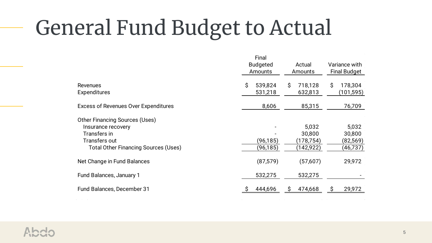# General Fund Budget to Actual

|                                             | Final           |               |                     |  |
|---------------------------------------------|-----------------|---------------|---------------------|--|
|                                             | <b>Budgeted</b> | Actual        | Variance with       |  |
|                                             | Amounts         | Amounts       | <b>Final Budget</b> |  |
|                                             |                 |               |                     |  |
| <b>Revenues</b>                             | \$<br>539,824   | S.<br>718,128 | \$<br>178,304       |  |
| <b>Expenditures</b>                         | 531,218         | 632,813       | (101, 595)          |  |
|                                             |                 |               |                     |  |
| <b>Excess of Revenues Over Expenditures</b> | 8,606           | 85,315        | 76,709              |  |
|                                             |                 |               |                     |  |
| <b>Other Financing Sources (Uses)</b>       |                 |               |                     |  |
| Insurance recovery                          |                 | 5,032         | 5,032               |  |
| Transfers in                                |                 | 30,800        | 30,800              |  |
| Transfers out                               | (96,185)        | (178,754)     | (82, 569)           |  |
| <b>Total Other Financing Sources (Uses)</b> | (96, 185)       | (142, 922)    | (46,737)            |  |
|                                             |                 |               |                     |  |
| Net Change in Fund Balances                 | (87, 579)       | (57,607)      | 29,972              |  |
|                                             |                 |               |                     |  |
| Fund Balances, January 1                    | 532,275         | 532,275       |                     |  |
|                                             |                 |               |                     |  |
| Fund Balances, December 31                  | 444,696         | 474,668<br>S  | 29,972<br>\$        |  |
|                                             |                 |               |                     |  |

 $\mathcal{L}^{\mathcal{L}}(\mathcal{L}^{\mathcal{L}}(\mathcal{L}^{\mathcal{L}}(\mathcal{L}^{\mathcal{L}}(\mathcal{L}^{\mathcal{L}}(\mathcal{L}^{\mathcal{L}}(\mathcal{L}^{\mathcal{L}}(\mathcal{L}^{\mathcal{L}}(\mathcal{L}^{\mathcal{L}}(\mathcal{L}^{\mathcal{L}}(\mathcal{L}^{\mathcal{L}}(\mathcal{L}^{\mathcal{L}}(\mathcal{L}^{\mathcal{L}}(\mathcal{L}^{\mathcal{L}}(\mathcal{L}^{\mathcal{L}}(\mathcal{L}^{\mathcal{L}}(\mathcal{L}^{\mathcal{L$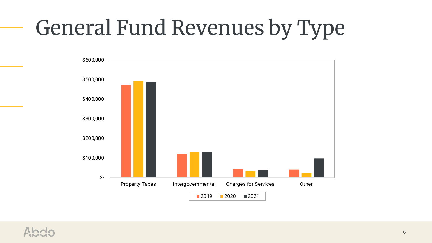# General Fund Revenues by Type



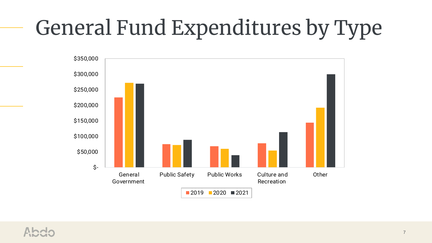# General Fund Expenditures by Type

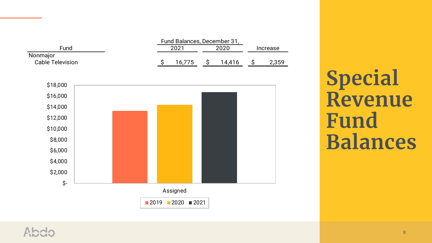

**Special Revenue Fund Balances**

#### Ahdr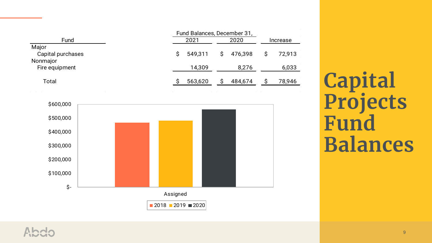|                   |      | Fund Balances, December 31, |      |           |          |        |
|-------------------|------|-----------------------------|------|-----------|----------|--------|
| Fund              | 2021 |                             | 2020 |           | Increase |        |
| Major             |      |                             |      |           |          |        |
| Capital purchases |      | 549,311                     |      | \$476,398 |          | 72,913 |
| Nonmajor          |      |                             |      |           |          |        |
| Fire equipment    |      | 14,309                      |      | 8,276     |          | 6,033  |
|                   |      |                             |      |           |          |        |
| Total             |      | 563,620                     |      | 484,674   |          | 78,946 |
|                   |      |                             |      |           |          |        |

 $\sim 10^7$ 

 $\sim 10$ 



**Capital Projects Fund Balances**

 $\alpha_{\rm{eff}}=1.00$  and  $\alpha_{\rm{eff}}=1.00$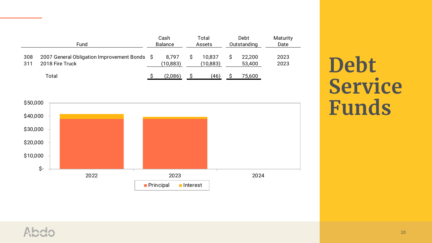|            | Fund                                                            | Cash<br><b>Balance</b> | Total<br>Assets     | Debt<br>Outstanding | Maturity<br>Date |
|------------|-----------------------------------------------------------------|------------------------|---------------------|---------------------|------------------|
| 308<br>311 | 2007 General Obligation Improvement Bonds \$<br>2018 Fire Truck | 8.797<br>(10, 883)     | 10,837<br>(10, 883) | 22,200<br>53,400    | 2023<br>2023     |
|            | Total                                                           | (2,086)                | (46)                | 75,600              |                  |

**Debt Service Funds**

 $\sim$ 



#### Abdo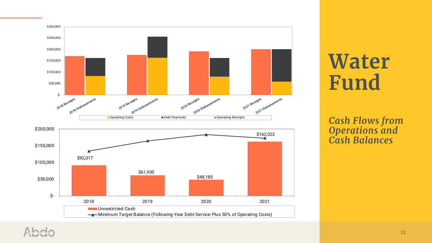

## **Water Fund**

*Cash Flows from Operations and Cash Balances*

### cbdA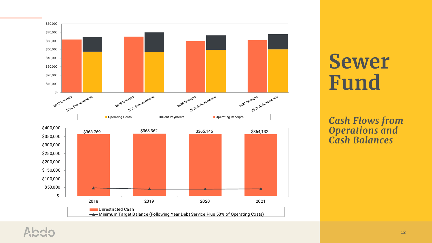

## **Sewer Fund**

*Cash Flows from Operations and Cash Balances*

#### cbdA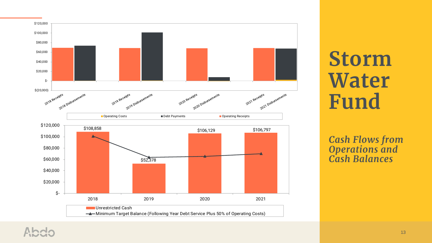

## **Storm Water Fund**

#### *Cash Flows from Operations and Cash Balances*

#### cbdA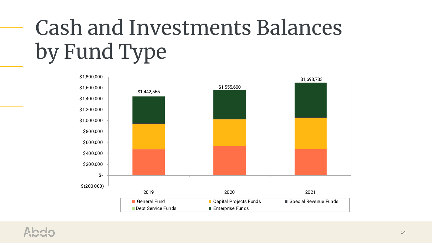# Cash and Investments Balances by Fund Type

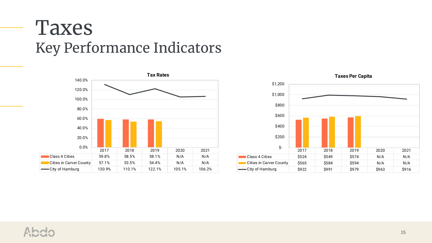### Taxes Key Performance Indicators



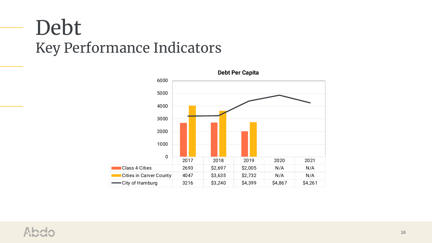### Debt Key Performance Indicators



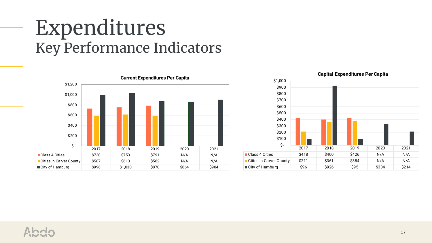### Expenditures Key Performance Indicators





### Ahde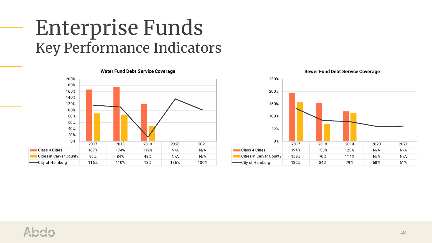### Enterprise Funds Key Performance Indicators





#### Ahde